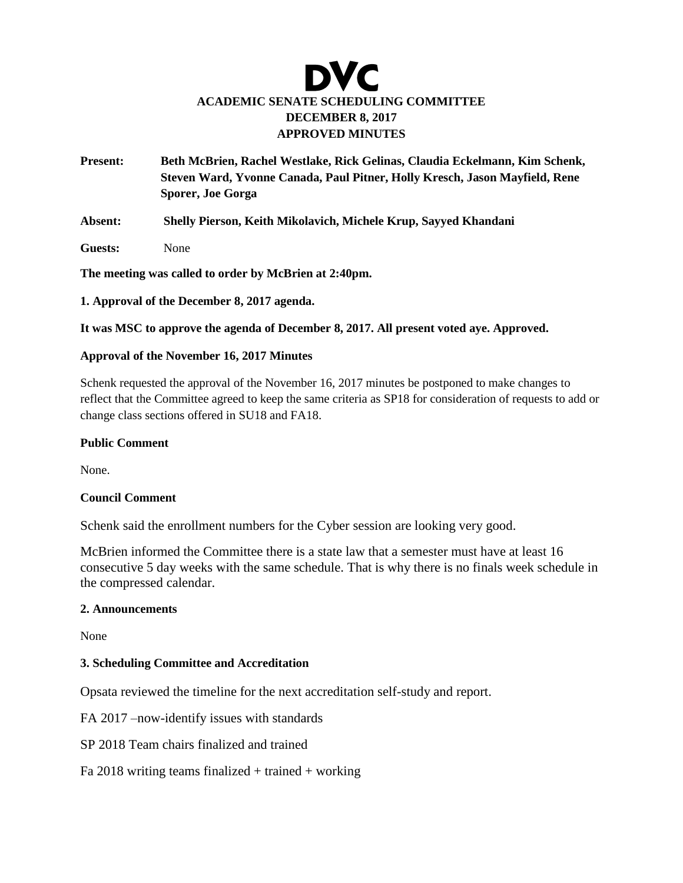# DVC **ACADEMIC SENATE SCHEDULING COMMITTEE DECEMBER 8, 2017 APPROVED MINUTES**

- **Present: Beth McBrien, Rachel Westlake, Rick Gelinas, Claudia Eckelmann, Kim Schenk, Steven Ward, Yvonne Canada, Paul Pitner, Holly Kresch, Jason Mayfield, Rene Sporer, Joe Gorga**
- **Absent: Shelly Pierson, Keith Mikolavich, Michele Krup, Sayyed Khandani**
- **Guests:** None

**The meeting was called to order by McBrien at 2:40pm.** 

**1. Approval of the December 8, 2017 agenda.**

**It was MSC to approve the agenda of December 8, 2017. All present voted aye. Approved.** 

### **Approval of the November 16, 2017 Minutes**

Schenk requested the approval of the November 16, 2017 minutes be postponed to make changes to reflect that the Committee agreed to keep the same criteria as SP18 for consideration of requests to add or change class sections offered in SU18 and FA18.

### **Public Comment**

None.

### **Council Comment**

Schenk said the enrollment numbers for the Cyber session are looking very good.

McBrien informed the Committee there is a state law that a semester must have at least 16 consecutive 5 day weeks with the same schedule. That is why there is no finals week schedule in the compressed calendar.

### **2. Announcements**

None

# **3. Scheduling Committee and Accreditation**

Opsata reviewed the timeline for the next accreditation self-study and report.

FA 2017 –now-identify issues with standards

SP 2018 Team chairs finalized and trained

Fa 2018 writing teams finalized  $+$  trained  $+$  working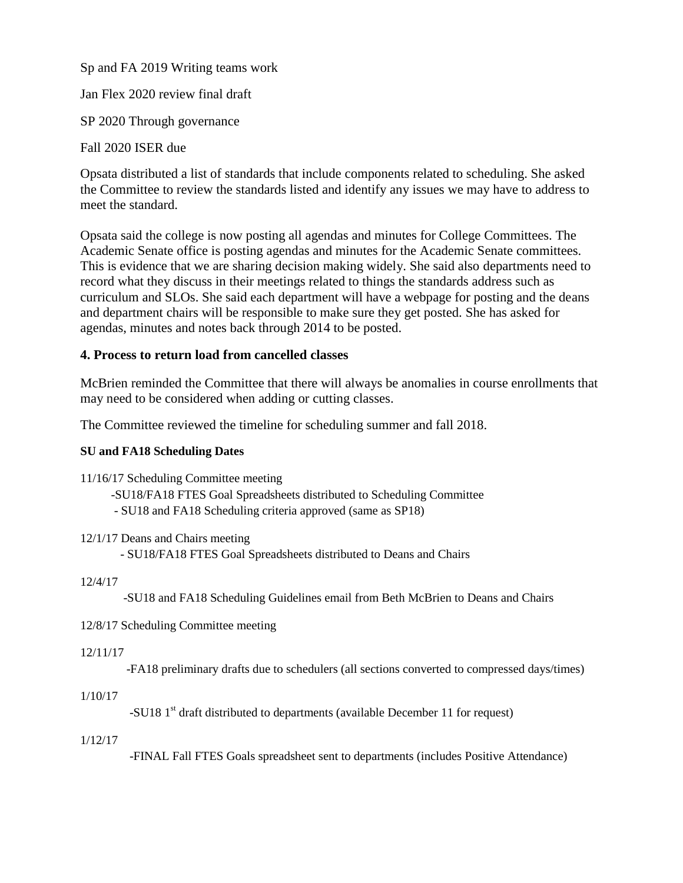Sp and FA 2019 Writing teams work

Jan Flex 2020 review final draft

SP 2020 Through governance

Fall 2020 ISER due

Opsata distributed a list of standards that include components related to scheduling. She asked the Committee to review the standards listed and identify any issues we may have to address to meet the standard.

Opsata said the college is now posting all agendas and minutes for College Committees. The Academic Senate office is posting agendas and minutes for the Academic Senate committees. This is evidence that we are sharing decision making widely. She said also departments need to record what they discuss in their meetings related to things the standards address such as curriculum and SLOs. She said each department will have a webpage for posting and the deans and department chairs will be responsible to make sure they get posted. She has asked for agendas, minutes and notes back through 2014 to be posted.

# **4. Process to return load from cancelled classes**

McBrien reminded the Committee that there will always be anomalies in course enrollments that may need to be considered when adding or cutting classes.

The Committee reviewed the timeline for scheduling summer and fall 2018.

# **SU and FA18 Scheduling Dates**

11/16/17 Scheduling Committee meeting

 -SU18/FA18 FTES Goal Spreadsheets distributed to Scheduling Committee - SU18 and FA18 Scheduling criteria approved (same as SP18)

12/1/17 Deans and Chairs meeting

- SU18/FA18 FTES Goal Spreadsheets distributed to Deans and Chairs

# 12/4/17

-SU18 and FA18 Scheduling Guidelines email from Beth McBrien to Deans and Chairs

12/8/17 Scheduling Committee meeting

# 12/11/17

-FA18 preliminary drafts due to schedulers (all sections converted to compressed days/times)

# 1/10/17

-SU18  $1<sup>st</sup>$  draft distributed to departments (available December 11 for request)

# 1/12/17

-FINAL Fall FTES Goals spreadsheet sent to departments (includes Positive Attendance)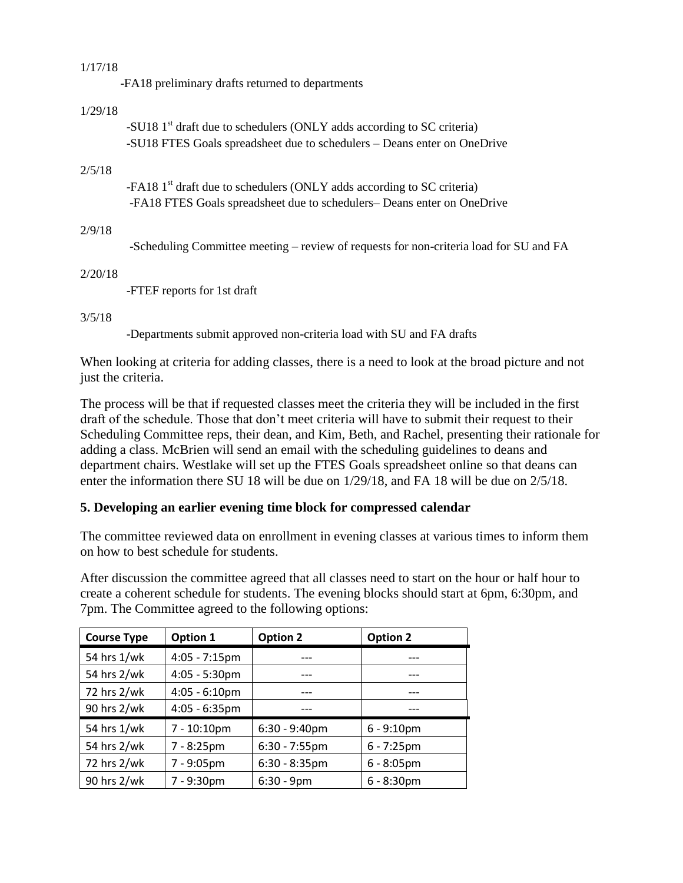### 1/17/18

-FA18 preliminary drafts returned to departments

### 1/29/18

-SU18  $1<sup>st</sup>$  draft due to schedulers (ONLY adds according to SC criteria) -SU18 FTES Goals spreadsheet due to schedulers – Deans enter on OneDrive

#### 2/5/18

-FA18 1<sup>st</sup> draft due to schedulers (ONLY adds according to SC criteria) -FA18 FTES Goals spreadsheet due to schedulers– Deans enter on OneDrive

# 2/9/18

-Scheduling Committee meeting – review of requests for non-criteria load for SU and FA

2/20/18

-FTEF reports for 1st draft

### 3/5/18

-Departments submit approved non-criteria load with SU and FA drafts

When looking at criteria for adding classes, there is a need to look at the broad picture and not just the criteria.

The process will be that if requested classes meet the criteria they will be included in the first draft of the schedule. Those that don't meet criteria will have to submit their request to their Scheduling Committee reps, their dean, and Kim, Beth, and Rachel, presenting their rationale for adding a class. McBrien will send an email with the scheduling guidelines to deans and department chairs. Westlake will set up the FTES Goals spreadsheet online so that deans can enter the information there SU 18 will be due on 1/29/18, and FA 18 will be due on 2/5/18.

# **5. Developing an earlier evening time block for compressed calendar**

The committee reviewed data on enrollment in evening classes at various times to inform them on how to best schedule for students.

After discussion the committee agreed that all classes need to start on the hour or half hour to create a coherent schedule for students. The evening blocks should start at 6pm, 6:30pm, and 7pm. The Committee agreed to the following options:

| <b>Course Type</b> | Option 1                | <b>Option 2</b>  | <b>Option 2</b> |
|--------------------|-------------------------|------------------|-----------------|
| 54 hrs 1/wk        | $4:05 - 7:15$ pm        |                  |                 |
| 54 hrs 2/wk        | $4:05 - 5:30$ pm        | ---              |                 |
| 72 hrs 2/wk        | $4:05 - 6:10 \text{pm}$ | ---              |                 |
| 90 hrs 2/wk        | $4:05 - 6:35$ pm        |                  |                 |
| 54 hrs 1/wk        | 7 - 10:10pm             | $6:30 - 9:40$ pm | $6 - 9:10pm$    |
| 54 hrs 2/wk        | $7 - 8:25$ pm           | $6:30 - 7:55$ pm | $6 - 7:25$ pm   |
| 72 hrs 2/wk        | 7 - 9:05pm              | $6:30 - 8:35$ pm | $6 - 8:05$ pm   |
| 90 hrs 2/wk        | 7 - 9:30pm              | $6:30 - 9$ pm    | $6 - 8:30$ pm   |